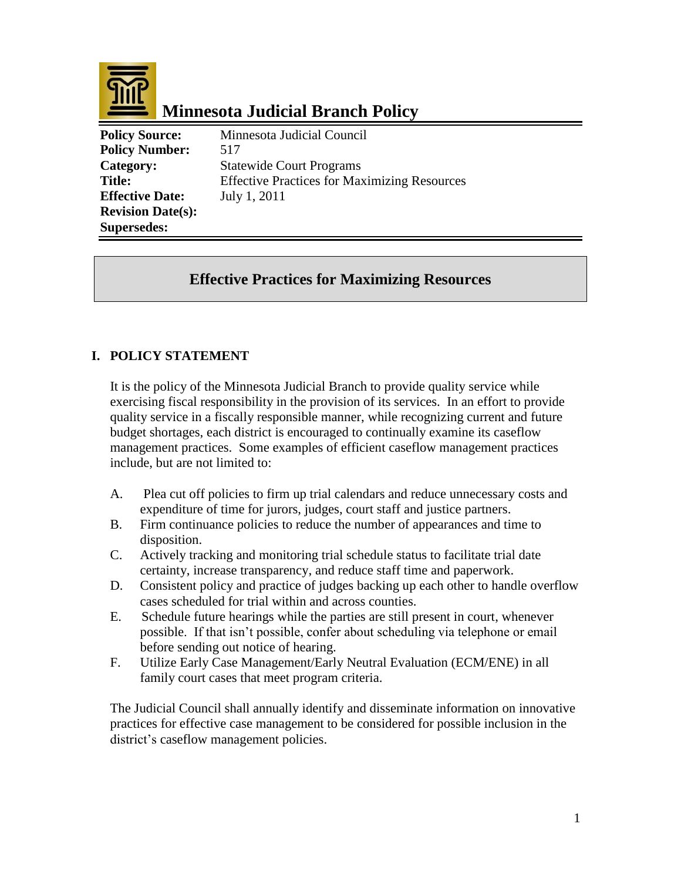

# **Minnesota Judicial Branch Policy**

**Policy Source:** Minnesota Judicial Council **Policy Number:** 517 **Category:** Statewide Court Programs **Title:** Effective Practices for Maximizing Resources **Effective Date:** July 1, 2011 **Revision Date(s): Supersedes:** 

## **Effective Practices for Maximizing Resources**

## **I. POLICY STATEMENT**

It is the policy of the Minnesota Judicial Branch to provide quality service while exercising fiscal responsibility in the provision of its services. In an effort to provide quality service in a fiscally responsible manner, while recognizing current and future budget shortages, each district is encouraged to continually examine its caseflow management practices. Some examples of efficient caseflow management practices include, but are not limited to:

- A. Plea cut off policies to firm up trial calendars and reduce unnecessary costs and expenditure of time for jurors, judges, court staff and justice partners.
- B. Firm continuance policies to reduce the number of appearances and time to disposition.
- C. Actively tracking and monitoring trial schedule status to facilitate trial date certainty, increase transparency, and reduce staff time and paperwork.
- D. Consistent policy and practice of judges backing up each other to handle overflow cases scheduled for trial within and across counties.
- E. Schedule future hearings while the parties are still present in court, whenever possible. If that isn't possible, confer about scheduling via telephone or email before sending out notice of hearing.
- F. Utilize Early Case Management/Early Neutral Evaluation (ECM/ENE) in all family court cases that meet program criteria.

The Judicial Council shall annually identify and disseminate information on innovative practices for effective case management to be considered for possible inclusion in the district's caseflow management policies.